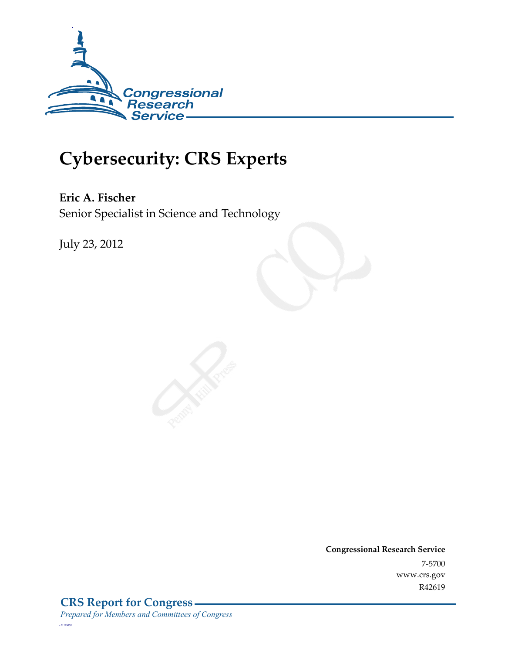

## **Cybersecurity: CRS Experts**

**Eric A. Fischer**  Senior Specialist in Science and Technology

July 23, 2012

**Congressional Research Service**  7-5700 www.crs.gov R42619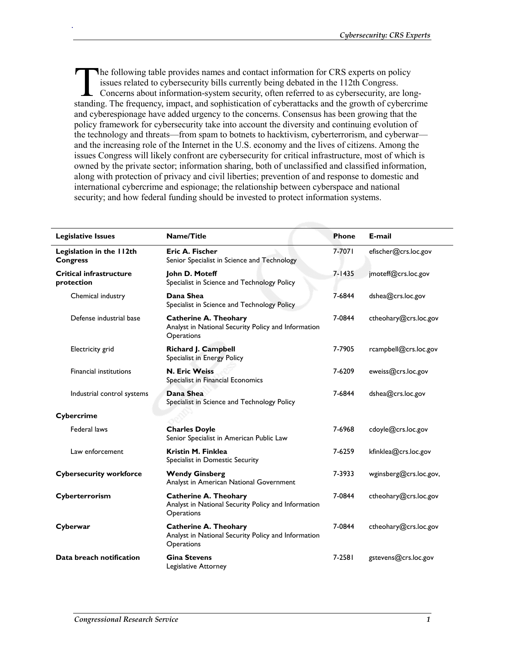he following table provides names and contact information for CRS experts on policy issues related to cybersecurity bills currently being debated in the 112th Congress. Concerns about information-system security, often referred to as cybersecurity, are long-The following table provides names and contact information for CRS experts on policy issues related to cybersecurity bills currently being debated in the 112th Congress.<br>Concerns about information-system security, often re and cyberespionage have added urgency to the concerns. Consensus has been growing that the policy framework for cybersecurity take into account the diversity and continuing evolution of the technology and threats—from spam to botnets to hacktivism, cyberterrorism, and cyberwar and the increasing role of the Internet in the U.S. economy and the lives of citizens. Among the issues Congress will likely confront are cybersecurity for critical infrastructure, most of which is owned by the private sector; information sharing, both of unclassified and classified information, along with protection of privacy and civil liberties; prevention of and response to domestic and international cybercrime and espionage; the relationship between cyberspace and national security; and how federal funding should be invested to protect information systems.

| <b>Legislative Issues</b>                    | Name/Title                                                                                        | <b>Phone</b> | E-mail                 |
|----------------------------------------------|---------------------------------------------------------------------------------------------------|--------------|------------------------|
| Legislation in the 112th<br><b>Congress</b>  | Eric A. Fischer<br>Senior Specialist in Science and Technology                                    | 7-7071       | efischer@crs.loc.gov   |
| <b>Critical infrastructure</b><br>protection | John D. Moteff<br>Specialist in Science and Technology Policy                                     | $7 - 1435$   | jmoteff@crs.loc.gov    |
| Chemical industry                            | Dana Shea<br>Specialist in Science and Technology Policy                                          | 7-6844       | dshea@crs.loc.gov      |
| Defense industrial base                      | <b>Catherine A. Theohary</b><br>Analyst in National Security Policy and Information<br>Operations | 7-0844       | ctheohary@crs.loc.gov  |
| Electricity grid                             | Richard J. Campbell<br>Specialist in Energy Policy                                                | 7-7905       | rcampbell@crs.loc.gov  |
| <b>Financial institutions</b>                | <b>N. Eric Weiss</b><br>Specialist in Financial Economics                                         | 7-6209       | eweiss@crs.loc.gov     |
| Industrial control systems                   | Dana Shea<br>Specialist in Science and Technology Policy                                          | 7-6844       | dshea@crs.loc.gov      |
| Cybercrime                                   |                                                                                                   |              |                        |
| Federal laws                                 | <b>Charles Doyle</b><br>Senior Specialist in American Public Law                                  | 7-6968       | cdoyle@crs.loc.gov     |
| Law enforcement                              | Kristin M. Finklea<br>Specialist in Domestic Security                                             | 7-6259       | kfinklea@crs.loc.gov   |
| <b>Cybersecurity workforce</b>               | <b>Wendy Ginsberg</b><br>Analyst in American National Government                                  | 7-3933       | wginsberg@crs.loc.gov, |
| Cyberterrorism                               | <b>Catherine A. Theohary</b><br>Analyst in National Security Policy and Information<br>Operations | 7-0844       | ctheohary@crs.loc.gov  |
| Cyberwar                                     | <b>Catherine A. Theohary</b><br>Analyst in National Security Policy and Information<br>Operations | 7-0844       | ctheohary@crs.loc.gov  |
| Data breach notification                     | <b>Gina Stevens</b><br>Legislative Attorney                                                       | 7-2581       | gstevens@crs.loc.gov   |

.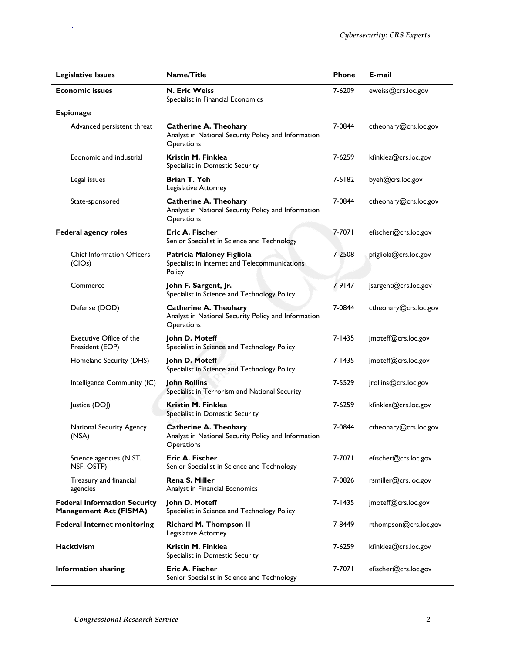| <b>Legislative Issues</b>                                            | <b>Name/Title</b>                                                                                 | <b>Phone</b> | E-mail                |
|----------------------------------------------------------------------|---------------------------------------------------------------------------------------------------|--------------|-----------------------|
| <b>Economic issues</b>                                               | <b>N. Eric Weiss</b><br>Specialist in Financial Economics                                         | 7-6209       | eweiss@crs.loc.gov    |
| <b>Espionage</b>                                                     |                                                                                                   |              |                       |
| Advanced persistent threat                                           | <b>Catherine A. Theohary</b><br>Analyst in National Security Policy and Information<br>Operations | 7-0844       | ctheohary@crs.loc.gov |
| Economic and industrial                                              | Kristin M. Finklea<br>Specialist in Domestic Security                                             | 7-6259       | kfinklea@crs.loc.gov  |
| Legal issues                                                         | Brian T. Yeh<br>Legislative Attorney                                                              | 7-5182       | byeh@crs.loc.gov      |
| State-sponsored                                                      | <b>Catherine A. Theohary</b><br>Analyst in National Security Policy and Information<br>Operations | 7-0844       | ctheohary@crs.loc.gov |
| Federal agency roles                                                 | <b>Eric A. Fischer</b><br>Senior Specialist in Science and Technology                             | 7-7071       | efischer@crs.loc.gov  |
| <b>Chief Information Officers</b><br>(CIOs)                          | Patricia Maloney Figliola<br>Specialist in Internet and Telecommunications<br>Policy              | 7-2508       | pfigliola@crs.loc.gov |
| Commerce                                                             | John F. Sargent, Jr.<br>Specialist in Science and Technology Policy                               | 7-9147       | jsargent@crs.loc.gov  |
| Defense (DOD)                                                        | <b>Catherine A. Theohary</b><br>Analyst in National Security Policy and Information<br>Operations | 7-0844       | ctheohary@crs.loc.gov |
| Executive Office of the<br>President (EOP)                           | John D. Moteff<br>Specialist in Science and Technology Policy                                     | $7 - 1435$   | jmoteff@crs.loc.gov   |
| Homeland Security (DHS)                                              | John D. Moteff<br>Specialist in Science and Technology Policy                                     | $7 - 1435$   | jmoteff@crs.loc.gov   |
| Intelligence Community (IC)                                          | <b>John Rollins</b><br>Specialist in Terrorism and National Security                              | 7-5529       | jrollins@crs.loc.gov  |
| Justice (DOJ)                                                        | Kristin M. Finklea<br>Specialist in Domestic Security                                             | 7-6259       | kfinklea@crs.loc.gov  |
| <b>National Security Agency</b><br>(NSA)                             | <b>Catherine A. Theohary</b><br>Analyst in National Security Policy and Information<br>Operations | 7-0844       | ctheohary@crs.loc.gov |
| Science agencies (NIST,<br>NSF, OSTP)                                | Eric A. Fischer<br>Senior Specialist in Science and Technology                                    | 7-7071       | efischer@crs.loc.gov  |
| Treasury and financial<br>agencies                                   | <b>Rena S. Miller</b><br>Analyst in Financial Economics                                           | 7-0826       | rsmiller@crs.loc.gov  |
| <b>Federal Information Security</b><br><b>Management Act (FISMA)</b> | John D. Moteff<br>Specialist in Science and Technology Policy                                     | 7-1435       | jmoteff@crs.loc.gov   |
| <b>Federal Internet monitoring</b>                                   | <b>Richard M. Thompson II</b><br>Legislative Attorney                                             | 7-8449       | rthompson@crs.loc.gov |
| <b>Hacktivism</b>                                                    | <b>Kristin M. Finklea</b><br>Specialist in Domestic Security                                      | 7-6259       | kfinklea@crs.loc.gov  |
| <b>Information sharing</b>                                           | Eric A. Fischer<br>Senior Specialist in Science and Technology                                    | 7-7071       | efischer@crs.loc.gov  |

.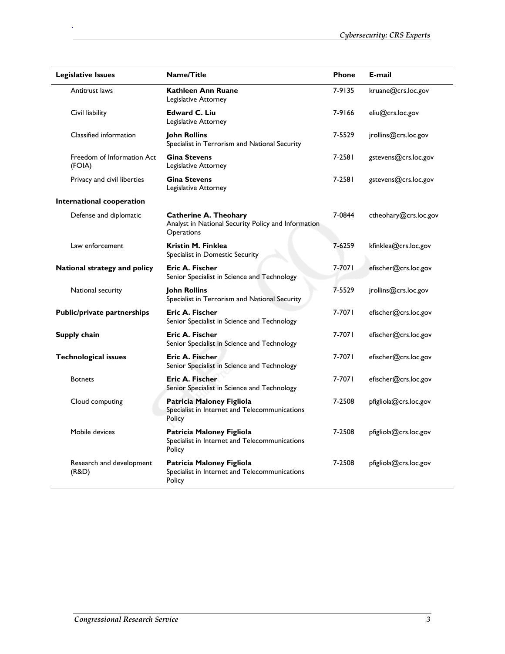| <b>Legislative Issues</b>            | <b>Name/Title</b>                                                                                 | <b>Phone</b> | E-mail                |
|--------------------------------------|---------------------------------------------------------------------------------------------------|--------------|-----------------------|
| Antitrust laws                       | <b>Kathleen Ann Ruane</b><br>Legislative Attorney                                                 | 7-9135       | kruane@crs.loc.gov    |
| Civil liability                      | <b>Edward C. Liu</b><br>Legislative Attorney                                                      | 7-9166       | eliu@crs.loc.gov      |
| Classified information               | <b>John Rollins</b><br>Specialist in Terrorism and National Security                              | 7-5529       | jrollins@crs.loc.gov  |
| Freedom of Information Act<br>(FOIA) | <b>Gina Stevens</b><br>Legislative Attorney                                                       | 7-2581       | gstevens@crs.loc.gov  |
| Privacy and civil liberties          | <b>Gina Stevens</b><br>Legislative Attorney                                                       | 7-2581       | gstevens@crs.loc.gov  |
| International cooperation            |                                                                                                   |              |                       |
| Defense and diplomatic               | <b>Catherine A. Theohary</b><br>Analyst in National Security Policy and Information<br>Operations | 7-0844       | ctheohary@crs.loc.gov |
| Law enforcement                      | Kristin M. Finklea<br>Specialist in Domestic Security                                             | 7-6259       | kfinklea@crs.loc.gov  |
| National strategy and policy         | Eric A. Fischer<br>Senior Specialist in Science and Technology                                    | 7-7071       | efischer@crs.loc.gov  |
| National security                    | <b>Iohn Rollins</b><br>Specialist in Terrorism and National Security                              | 7-5529       | jrollins@crs.loc.gov  |
| <b>Public/private partnerships</b>   | Eric A. Fischer<br>Senior Specialist in Science and Technology                                    | 7-7071       | efischer@crs.loc.gov  |
| Supply chain                         | Eric A. Fischer<br>Senior Specialist in Science and Technology                                    | 7-7071       | efischer@crs.loc.gov  |
| <b>Technological issues</b>          | Eric A. Fischer<br>Senior Specialist in Science and Technology                                    | 7-7071       | efischer@crs.loc.gov  |
| <b>Botnets</b>                       | <b>Eric A. Fischer</b><br>Senior Specialist in Science and Technology                             | 7-7071       | efischer@crs.loc.gov  |
| Cloud computing                      | Patricia Maloney Figliola<br>Specialist in Internet and Telecommunications<br>Policy              | 7-2508       | pfigliola@crs.loc.gov |
| Mobile devices                       | Patricia Maloney Figliola<br>Specialist in Internet and Telecommunications<br>Policy              | 7-2508       | pfigliola@crs.loc.gov |
| Research and development<br>(R&D)    | Patricia Maloney Figliola<br>Specialist in Internet and Telecommunications<br>Policy              | 7-2508       | pfigliola@crs.loc.gov |

.